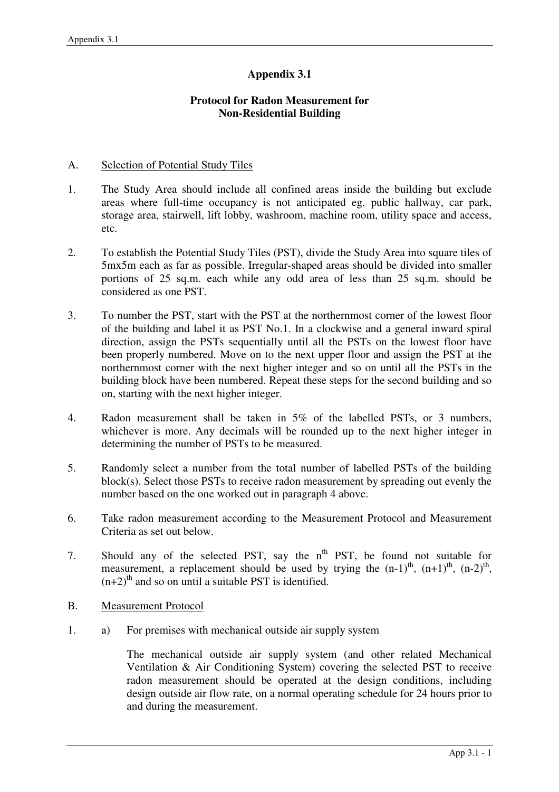## **Appendix 3.1**

## **Protocol for Radon Measurement for Non-Residential Building**

## A. Selection of Potential Study Tiles

- 1. The Study Area should include all confined areas inside the building but exclude areas where full-time occupancy is not anticipated eg. public hallway, car park, storage area, stairwell, lift lobby, washroom, machine room, utility space and access, etc.
- 2. To establish the Potential Study Tiles (PST), divide the Study Area into square tiles of 5mx5m each as far as possible. Irregular-shaped areas should be divided into smaller portions of 25 sq.m. each while any odd area of less than 25 sq.m. should be considered as one PST.
- 3. To number the PST, start with the PST at the northernmost corner of the lowest floor of the building and label it as PST No.1. In a clockwise and a general inward spiral direction, assign the PSTs sequentially until all the PSTs on the lowest floor have been properly numbered. Move on to the next upper floor and assign the PST at the northernmost corner with the next higher integer and so on until all the PSTs in the building block have been numbered. Repeat these steps for the second building and so on, starting with the next higher integer.
- 4. Radon measurement shall be taken in 5% of the labelled PSTs, or 3 numbers, whichever is more. Any decimals will be rounded up to the next higher integer in determining the number of PSTs to be measured.
- 5. Randomly select a number from the total number of labelled PSTs of the building block(s). Select those PSTs to receive radon measurement by spreading out evenly the number based on the one worked out in paragraph 4 above.
- 6. Take radon measurement according to the Measurement Protocol and Measurement Criteria as set out below.
- 7. Should any of the selected PST, say the  $n^{th}$  PST, be found not suitable for measurement, a replacement should be used by trying the  $(n-1)$ <sup>th</sup>,  $(n+1)$ <sup>th</sup>,  $(n-2)$ <sup>th</sup>,  $(n+2)$ <sup>th</sup> and so on until a suitable PST is identified.
- B. Measurement Protocol
- 1. a) For premises with mechanical outside air supply system

The mechanical outside air supply system (and other related Mechanical Ventilation & Air Conditioning System) covering the selected PST to receive radon measurement should be operated at the design conditions, including design outside air flow rate, on a normal operating schedule for 24 hours prior to and during the measurement.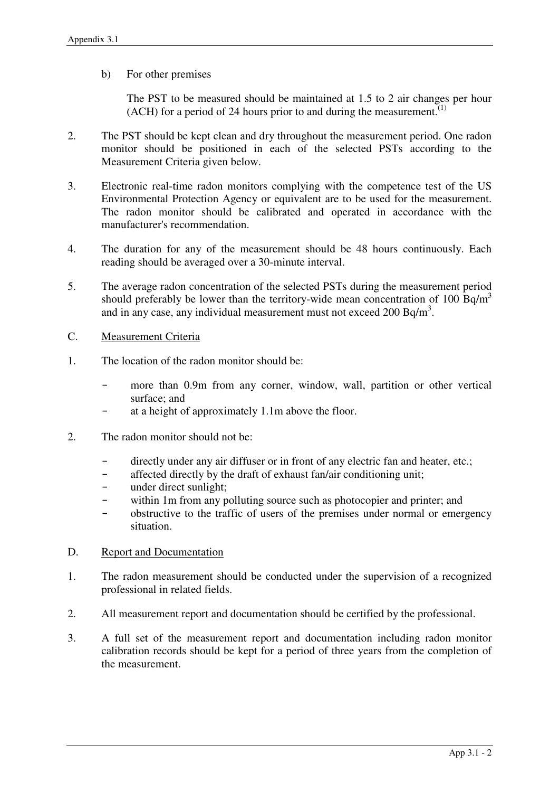b) For other premises

The PST to be measured should be maintained at 1.5 to 2 air changes per hour (ACH) for a period of 24 hours prior to and during the measurement.<sup> $(1)$ </sup>

- 2. The PST should be kept clean and dry throughout the measurement period. One radon monitor should be positioned in each of the selected PSTs according to the Measurement Criteria given below.
- 3. Electronic real-time radon monitors complying with the competence test of the US Environmental Protection Agency or equivalent are to be used for the measurement. The radon monitor should be calibrated and operated in accordance with the manufacturer's recommendation.
- 4. The duration for any of the measurement should be 48 hours continuously. Each reading should be averaged over a 30-minute interval.
- 5. The average radon concentration of the selected PSTs during the measurement period should preferably be lower than the territory-wide mean concentration of 100 Bq/m<sup>3</sup> and in any case, any individual measurement must not exceed  $200$  Bq/m<sup>3</sup>.
- C. Measurement Criteria
- 1. The location of the radon monitor should be:
	- more than 0.9m from any corner, window, wall, partition or other vertical surface; and
	- at a height of approximately 1.1m above the floor.
- 2. The radon monitor should not be:
	- directly under any air diffuser or in front of any electric fan and heater, etc.;
	- affected directly by the draft of exhaust fan/air conditioning unit;
	- under direct sunlight;
	- within 1m from any polluting source such as photocopier and printer; and
	- obstructive to the traffic of users of the premises under normal or emergency situation.
- D. Report and Documentation
- 1. The radon measurement should be conducted under the supervision of a recognized professional in related fields.
- 2. All measurement report and documentation should be certified by the professional.
- 3. A full set of the measurement report and documentation including radon monitor calibration records should be kept for a period of three years from the completion of the measurement.